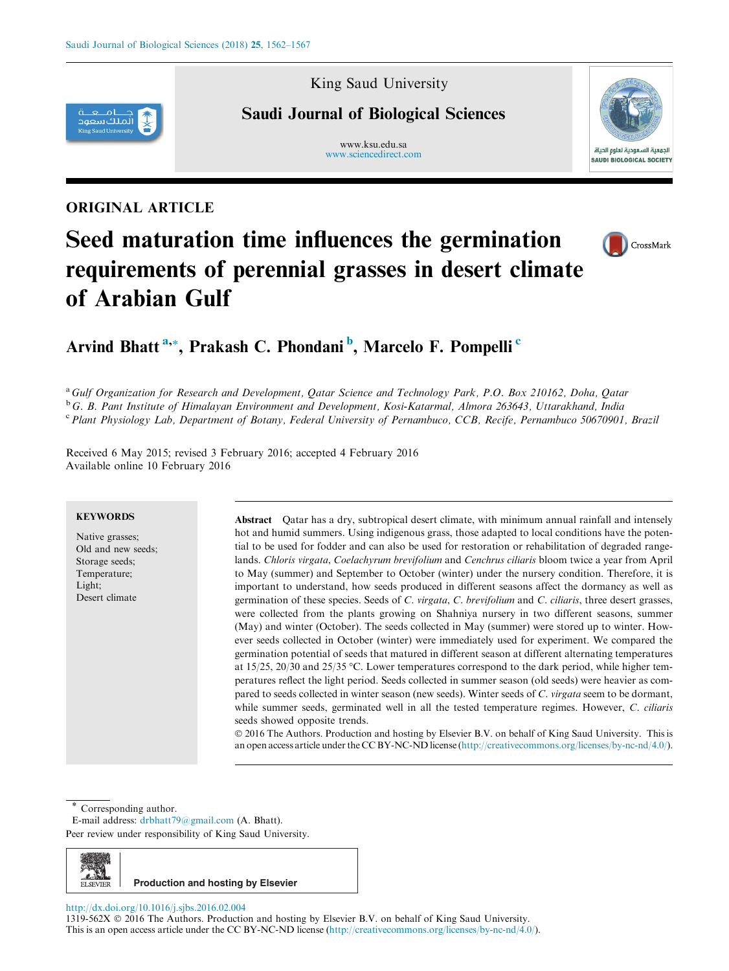

### King Saud University

## Saudi Journal of Biological Sciences

www.ksu.edu.sa [www.sciencedirect.com](http://www.sciencedirect.com/science/journal/1319562X)



CrossMark

## ORIGINAL ARTICLE

# Seed maturation time influences the germination requirements of perennial grasses in desert climate of Arabian Gulf

## Arvind Bhatt<sup>a,\*</sup>, Prakash C. Phondani <sup>b</sup>, Marcelo F. Pompelli <sup>c</sup>

<sup>a</sup> Gulf Organization for Research and Development, Qatar Science and Technology Park, P.O. Box 210162, Doha, Qatar <sup>b</sup> G. B. Pant Institute of Himalayan Environment and Development, Kosi-Katarmal, Almora 263643, Uttarakhand, India <sup>c</sup> Plant Physiology Lab, Department of Botany, Federal University of Pernambuco, CCB, Recife, Pernambuco 50670901, Brazil

Received 6 May 2015; revised 3 February 2016; accepted 4 February 2016 Available online 10 February 2016

#### **KEYWORDS**

Native grasses; Old and new seeds; Storage seeds; Temperature; Light; Desert climate

Abstract Qatar has a dry, subtropical desert climate, with minimum annual rainfall and intensely hot and humid summers. Using indigenous grass, those adapted to local conditions have the potential to be used for fodder and can also be used for restoration or rehabilitation of degraded rangelands. Chloris virgata, Coelachyrum brevifolium and Cenchrus ciliaris bloom twice a year from April to May (summer) and September to October (winter) under the nursery condition. Therefore, it is important to understand, how seeds produced in different seasons affect the dormancy as well as germination of these species. Seeds of C. virgata, C. brevifolium and C. ciliaris, three desert grasses, were collected from the plants growing on Shahniya nursery in two different seasons, summer (May) and winter (October). The seeds collected in May (summer) were stored up to winter. However seeds collected in October (winter) were immediately used for experiment. We compared the germination potential of seeds that matured in different season at different alternating temperatures at  $15/25$ ,  $20/30$  and  $25/35$  °C. Lower temperatures correspond to the dark period, while higher temperatures reflect the light period. Seeds collected in summer season (old seeds) were heavier as compared to seeds collected in winter season (new seeds). Winter seeds of C. virgata seem to be dormant, while summer seeds, germinated well in all the tested temperature regimes. However, C. ciliaris seeds showed opposite trends.

 2016 The Authors. Production and hosting by Elsevier B.V. on behalf of King Saud University. This is an open access article under the CC BY-NC-ND license [\(http://creativecommons.org/licenses/by-nc-nd/4.0/](http://creativecommons.org/licenses/by-nc-nd/4.0/)).

Corresponding author.

E-mail address: [drbhatt79@gmail.com](mailto:drbhatt79@gmail.com) (A. Bhatt).

Peer review under responsibility of King Saud University.



<http://dx.doi.org/10.1016/j.sjbs.2016.02.004>

1319-562X © 2016 The Authors. Production and hosting by Elsevier B.V. on behalf of King Saud University. This is an open access article under the CC BY-NC-ND license [\(http://creativecommons.org/licenses/by-nc-nd/4.0/](http://creativecommons.org/licenses/by-nc-nd/4.0/)).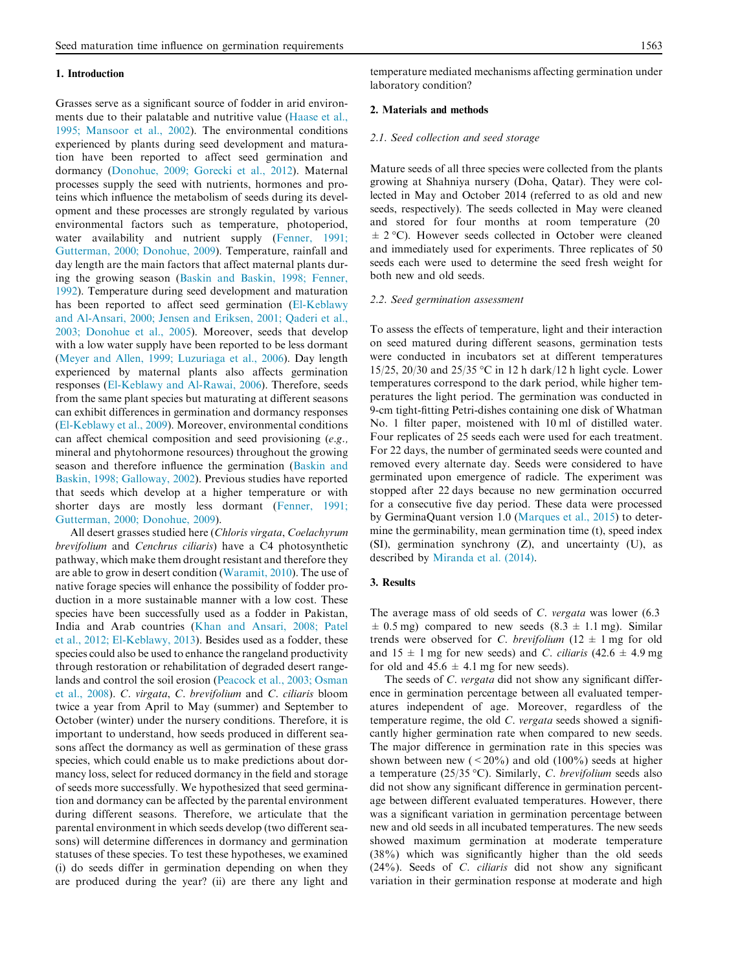#### 1. Introduction

Grasses serve as a significant source of fodder in arid environments due to their palatable and nutritive value [\(Haase et al.,](#page-4-0) [1995; Mansoor et al., 2002](#page-4-0)). The environmental conditions experienced by plants during seed development and maturation have been reported to affect seed germination and dormancy [\(Donohue, 2009; Gorecki et al., 2012](#page-4-0)). Maternal processes supply the seed with nutrients, hormones and proteins which influence the metabolism of seeds during its development and these processes are strongly regulated by various environmental factors such as temperature, photoperiod, water availability and nutrient supply ([Fenner, 1991;](#page-4-0) [Gutterman, 2000; Donohue, 2009](#page-4-0)). Temperature, rainfall and day length are the main factors that affect maternal plants during the growing season ([Baskin and Baskin, 1998; Fenner,](#page-4-0) [1992](#page-4-0)). Temperature during seed development and maturation has been reported to affect seed germination ([El-Keblawy](#page-4-0) [and Al-Ansari, 2000; Jensen and Eriksen, 2001; Qaderi et al.,](#page-4-0) [2003; Donohue et al., 2005](#page-4-0)). Moreover, seeds that develop with a low water supply have been reported to be less dormant [\(Meyer and Allen, 1999; Luzuriaga et al., 2006\)](#page-5-0). Day length experienced by maternal plants also affects germination responses ([El-Keblawy and Al-Rawai, 2006\)](#page-4-0). Therefore, seeds from the same plant species but maturating at different seasons can exhibit differences in germination and dormancy responses [\(El-Keblawy et al., 2009\)](#page-4-0). Moreover, environmental conditions can affect chemical composition and seed provisioning (e.g., mineral and phytohormone resources) throughout the growing season and therefore influence the germination ([Baskin and](#page-4-0) [Baskin, 1998; Galloway, 2002](#page-4-0)). Previous studies have reported that seeds which develop at a higher temperature or with shorter days are mostly less dormant [\(Fenner, 1991;](#page-4-0) [Gutterman, 2000; Donohue, 2009\)](#page-4-0).

All desert grasses studied here (Chloris virgata, Coelachyrum brevifolium and Cenchrus ciliaris) have a C4 photosynthetic pathway, which make them drought resistant and therefore they are able to grow in desert condition [\(Waramit, 2010\)](#page-5-0). The use of native forage species will enhance the possibility of fodder production in a more sustainable manner with a low cost. These species have been successfully used as a fodder in Pakistan, India and Arab countries [\(Khan and Ansari, 2008; Patel](#page-5-0) [et al., 2012; El-Keblawy, 2013\)](#page-5-0). Besides used as a fodder, these species could also be used to enhance the rangeland productivity through restoration or rehabilitation of degraded desert rangelands and control the soil erosion ([Peacock et al., 2003; Osman](#page-5-0) [et al., 2008](#page-5-0)). C. virgata, C. brevifolium and C. ciliaris bloom twice a year from April to May (summer) and September to October (winter) under the nursery conditions. Therefore, it is important to understand, how seeds produced in different seasons affect the dormancy as well as germination of these grass species, which could enable us to make predictions about dormancy loss, select for reduced dormancy in the field and storage of seeds more successfully. We hypothesized that seed germination and dormancy can be affected by the parental environment during different seasons. Therefore, we articulate that the parental environment in which seeds develop (two different seasons) will determine differences in dormancy and germination statuses of these species. To test these hypotheses, we examined (i) do seeds differ in germination depending on when they are produced during the year? (ii) are there any light and temperature mediated mechanisms affecting germination under laboratory condition?

#### 2. Materials and methods

#### 2.1. Seed collection and seed storage

Mature seeds of all three species were collected from the plants growing at Shahniya nursery (Doha, Qatar). They were collected in May and October 2014 (referred to as old and new seeds, respectively). The seeds collected in May were cleaned and stored for four months at room temperature (20  $\pm$  2 °C). However seeds collected in October were cleaned and immediately used for experiments. Three replicates of 50 seeds each were used to determine the seed fresh weight for both new and old seeds.

#### 2.2. Seed germination assessment

To assess the effects of temperature, light and their interaction on seed matured during different seasons, germination tests were conducted in incubators set at different temperatures 15/25, 20/30 and 25/35 °C in 12 h dark/12 h light cycle. Lower temperatures correspond to the dark period, while higher temperatures the light period. The germination was conducted in 9-cm tight-fitting Petri-dishes containing one disk of Whatman No. 1 filter paper, moistened with 10 ml of distilled water. Four replicates of 25 seeds each were used for each treatment. For 22 days, the number of germinated seeds were counted and removed every alternate day. Seeds were considered to have germinated upon emergence of radicle. The experiment was stopped after 22 days because no new germination occurred for a consecutive five day period. These data were processed by GerminaQuant version 1.0 [\(Marques et al., 2015\)](#page-5-0) to determine the germinability, mean germination time (t), speed index (SI), germination synchrony (Z), and uncertainty (U), as described by [Miranda et al. \(2014\)](#page-5-0).

#### 3. Results

The average mass of old seeds of C. vergata was lower (6.3  $\pm$  0.5 mg) compared to new seeds (8.3  $\pm$  1.1 mg). Similar trends were observed for C. brevifolium ( $12 \pm 1$  mg for old and  $15 \pm 1$  mg for new seeds) and *C. ciliaris* (42.6  $\pm$  4.9 mg for old and  $45.6 \pm 4.1$  mg for new seeds).

The seeds of C. vergata did not show any significant difference in germination percentage between all evaluated temperatures independent of age. Moreover, regardless of the temperature regime, the old C. vergata seeds showed a significantly higher germination rate when compared to new seeds. The major difference in germination rate in this species was shown between new  $(<20\%)$  and old  $(100\%)$  seeds at higher a temperature (25/35 °C). Similarly, C. brevifolium seeds also did not show any significant difference in germination percentage between different evaluated temperatures. However, there was a significant variation in germination percentage between new and old seeds in all incubated temperatures. The new seeds showed maximum germination at moderate temperature (38%) which was significantly higher than the old seeds (24%). Seeds of C. ciliaris did not show any significant variation in their germination response at moderate and high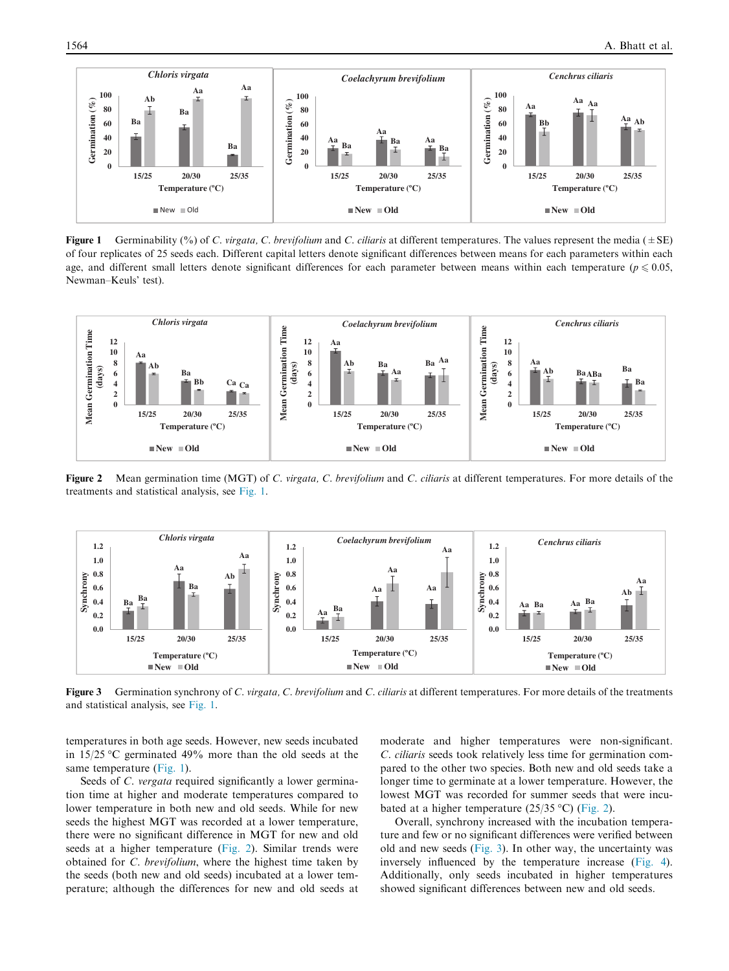<span id="page-2-0"></span>

Figure 1 Germinability (%) of C. virgata, C. brevifolium and C. ciliaris at different temperatures. The values represent the media ( $\pm$ SE) of four replicates of 25 seeds each. Different capital letters denote significant differences between means for each parameters within each age, and different small letters denote significant differences for each parameter between means within each temperature ( $p \le 0.05$ , Newman–Keuls' test).



Figure 2 Mean germination time (MGT) of C. virgata, C. brevifolium and C. ciliaris at different temperatures. For more details of the treatments and statistical analysis, see Fig. 1.



Figure 3 Germination synchrony of C. virgata, C. brevifolium and C. ciliaris at different temperatures. For more details of the treatments and statistical analysis, see Fig. 1.

temperatures in both age seeds. However, new seeds incubated in  $15/25$  °C germinated 49% more than the old seeds at the same temperature (Fig. 1).

Seeds of *C. vergata* required significantly a lower germination time at higher and moderate temperatures compared to lower temperature in both new and old seeds. While for new seeds the highest MGT was recorded at a lower temperature, there were no significant difference in MGT for new and old seeds at a higher temperature (Fig. 2). Similar trends were obtained for C. brevifolium, where the highest time taken by the seeds (both new and old seeds) incubated at a lower temperature; although the differences for new and old seeds at

moderate and higher temperatures were non-significant. C. ciliaris seeds took relatively less time for germination compared to the other two species. Both new and old seeds take a longer time to germinate at a lower temperature. However, the lowest MGT was recorded for summer seeds that were incubated at a higher temperature  $(25/35 \text{ °C})$  (Fig. 2).

Overall, synchrony increased with the incubation temperature and few or no significant differences were verified between old and new seeds (Fig. 3). In other way, the uncertainty was inversely influenced by the temperature increase ([Fig. 4](#page-3-0)). Additionally, only seeds incubated in higher temperatures showed significant differences between new and old seeds.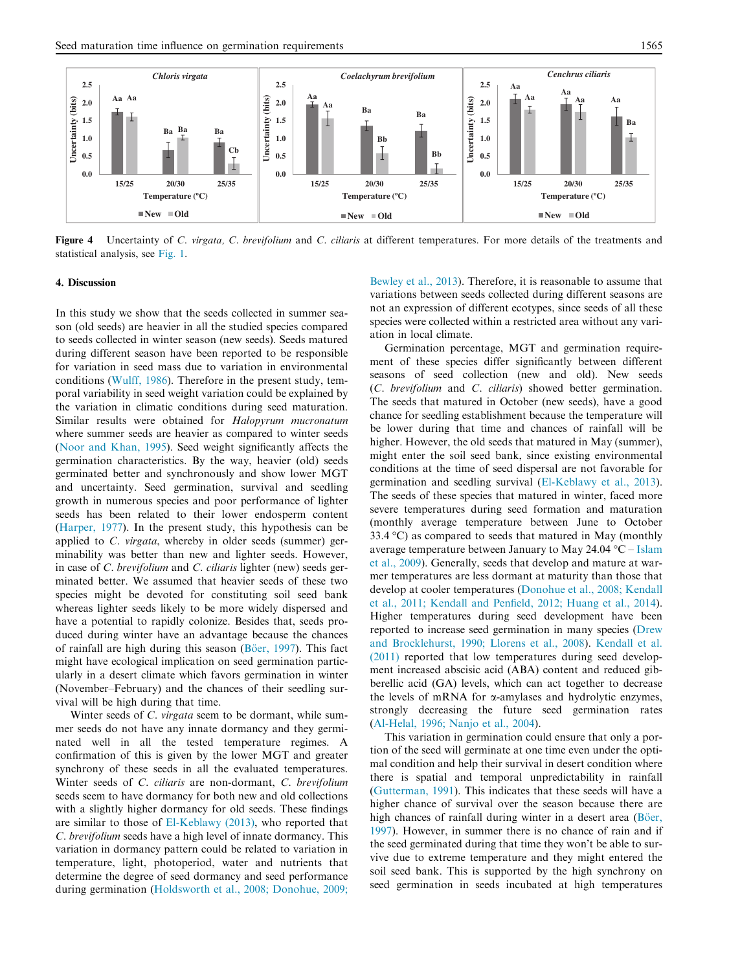<span id="page-3-0"></span>

Figure 4 Uncertainty of C. virgata, C. brevifolium and C. ciliaris at different temperatures. For more details of the treatments and statistical analysis, see [Fig. 1.](#page-2-0)

#### 4. Discussion

In this study we show that the seeds collected in summer season (old seeds) are heavier in all the studied species compared to seeds collected in winter season (new seeds). Seeds matured during different season have been reported to be responsible for variation in seed mass due to variation in environmental conditions [\(Wulff, 1986\)](#page-5-0). Therefore in the present study, temporal variability in seed weight variation could be explained by the variation in climatic conditions during seed maturation. Similar results were obtained for Halopyrum mucronatum where summer seeds are heavier as compared to winter seeds [\(Noor and Khan, 1995](#page-5-0)). Seed weight significantly affects the germination characteristics. By the way, heavier (old) seeds germinated better and synchronously and show lower MGT and uncertainty. Seed germination, survival and seedling growth in numerous species and poor performance of lighter seeds has been related to their lower endosperm content [\(Harper, 1977](#page-4-0)). In the present study, this hypothesis can be applied to C. virgata, whereby in older seeds (summer) germinability was better than new and lighter seeds. However, in case of C. brevifolium and C. ciliaris lighter (new) seeds germinated better. We assumed that heavier seeds of these two species might be devoted for constituting soil seed bank whereas lighter seeds likely to be more widely dispersed and have a potential to rapidly colonize. Besides that, seeds produced during winter have an advantage because the chances of rainfall are high during this season (Böer, 1997). This fact might have ecological implication on seed germination particularly in a desert climate which favors germination in winter (November–February) and the chances of their seedling survival will be high during that time.

Winter seeds of C. virgata seem to be dormant, while summer seeds do not have any innate dormancy and they germinated well in all the tested temperature regimes. A confirmation of this is given by the lower MGT and greater synchrony of these seeds in all the evaluated temperatures. Winter seeds of C. ciliaris are non-dormant, C. brevifolium seeds seem to have dormancy for both new and old collections with a slightly higher dormancy for old seeds. These findings are similar to those of [El-Keblawy \(2013\)](#page-4-0), who reported that C. brevifolium seeds have a high level of innate dormancy. This variation in dormancy pattern could be related to variation in temperature, light, photoperiod, water and nutrients that determine the degree of seed dormancy and seed performance during germination ([Holdsworth et al., 2008; Donohue, 2009;](#page-5-0) [Bewley et al., 2013](#page-5-0)). Therefore, it is reasonable to assume that variations between seeds collected during different seasons are not an expression of different ecotypes, since seeds of all these species were collected within a restricted area without any variation in local climate.

Germination percentage, MGT and germination requirement of these species differ significantly between different seasons of seed collection (new and old). New seeds (C. brevifolium and C. ciliaris) showed better germination. The seeds that matured in October (new seeds), have a good chance for seedling establishment because the temperature will be lower during that time and chances of rainfall will be higher. However, the old seeds that matured in May (summer), might enter the soil seed bank, since existing environmental conditions at the time of seed dispersal are not favorable for germination and seedling survival [\(El-Keblawy et al., 2013](#page-4-0)). The seeds of these species that matured in winter, faced more severe temperatures during seed formation and maturation (monthly average temperature between June to October 33.4  $\degree$ C) as compared to seeds that matured in May (monthly average temperature between January to May 24.04  $^{\circ}$ C – [Islam](#page-5-0) [et al., 2009](#page-5-0)). Generally, seeds that develop and mature at warmer temperatures are less dormant at maturity than those that develop at cooler temperatures ([Donohue et al., 2008; Kendall](#page-4-0) [et al., 2011; Kendall and Penfield, 2012; Huang et al., 2014](#page-4-0)). Higher temperatures during seed development have been reported to increase seed germination in many species [\(Drew](#page-4-0) [and Brocklehurst, 1990; Llorens et al., 2008\)](#page-4-0). [Kendall et al.](#page-5-0) [\(2011\)](#page-5-0) reported that low temperatures during seed development increased abscisic acid (ABA) content and reduced gibberellic acid (GA) levels, which can act together to decrease the levels of mRNA for a-amylases and hydrolytic enzymes, strongly decreasing the future seed germination rates [\(Al-Helal, 1996; Nanjo et al., 2004\)](#page-4-0).

This variation in germination could ensure that only a portion of the seed will germinate at one time even under the optimal condition and help their survival in desert condition where there is spatial and temporal unpredictability in rainfall [\(Gutterman, 1991](#page-4-0)). This indicates that these seeds will have a higher chance of survival over the season because there are high chances of rainfall during winter in a desert area (Böer, [1997](#page-4-0)). However, in summer there is no chance of rain and if the seed germinated during that time they won't be able to survive due to extreme temperature and they might entered the soil seed bank. This is supported by the high synchrony on seed germination in seeds incubated at high temperatures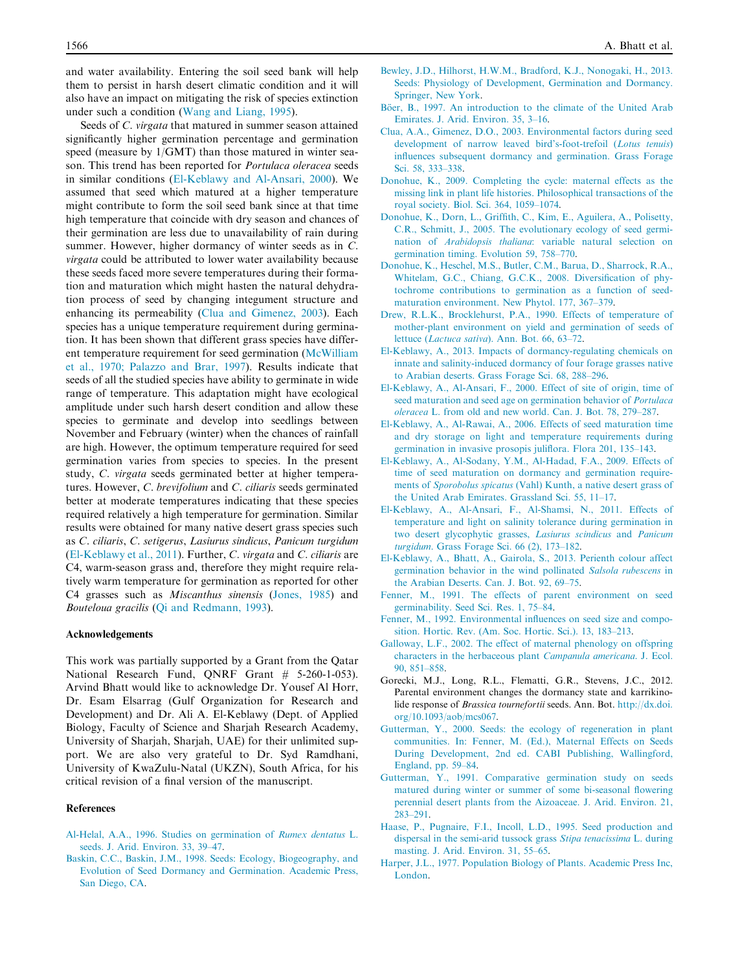<span id="page-4-0"></span>and water availability. Entering the soil seed bank will help them to persist in harsh desert climatic condition and it will also have an impact on mitigating the risk of species extinction under such a condition [\(Wang and Liang, 1995](#page-5-0)).

Seeds of *C. virgata* that matured in summer season attained significantly higher germination percentage and germination speed (measure by 1/GMT) than those matured in winter season. This trend has been reported for Portulaca oleracea seeds in similar conditions (El-Keblawy and Al-Ansari, 2000). We assumed that seed which matured at a higher temperature might contribute to form the soil seed bank since at that time high temperature that coincide with dry season and chances of their germination are less due to unavailability of rain during summer. However, higher dormancy of winter seeds as in C. virgata could be attributed to lower water availability because these seeds faced more severe temperatures during their formation and maturation which might hasten the natural dehydration process of seed by changing integument structure and enhancing its permeability (Clua and Gimenez, 2003). Each species has a unique temperature requirement during germination. It has been shown that different grass species have different temperature requirement for seed germination ([McWilliam](#page-5-0) [et al., 1970; Palazzo and Brar, 1997\)](#page-5-0). Results indicate that seeds of all the studied species have ability to germinate in wide range of temperature. This adaptation might have ecological amplitude under such harsh desert condition and allow these species to germinate and develop into seedlings between November and February (winter) when the chances of rainfall are high. However, the optimum temperature required for seed germination varies from species to species. In the present study, C. virgata seeds germinated better at higher temperatures. However, C. brevifolium and C. ciliaris seeds germinated better at moderate temperatures indicating that these species required relatively a high temperature for germination. Similar results were obtained for many native desert grass species such as C. ciliaris, C. setigerus, Lasiurus sindicus, Panicum turgidum (El-Keblawy et al., 2011). Further, C. virgata and C. ciliaris are C4, warm-season grass and, therefore they might require relatively warm temperature for germination as reported for other C4 grasses such as Miscanthus sinensis [\(Jones, 1985](#page-5-0)) and Bouteloua gracilis ([Qi and Redmann, 1993](#page-5-0)).

#### Acknowledgements

This work was partially supported by a Grant from the Qatar National Research Fund, QNRF Grant # 5-260-1-053). Arvind Bhatt would like to acknowledge Dr. Yousef Al Horr, Dr. Esam Elsarrag (Gulf Organization for Research and Development) and Dr. Ali A. El-Keblawy (Dept. of Applied Biology, Faculty of Science and Sharjah Research Academy, University of Sharjah, Sharjah, UAE) for their unlimited support. We are also very grateful to Dr. Syd Ramdhani, University of KwaZulu-Natal (UKZN), South Africa, for his critical revision of a final version of the manuscript.

#### References

- [Al-Helal, A.A., 1996. Studies on germination of](http://refhub.elsevier.com/S1319-562X(16)00051-6/h0005) Rumex dentatus L. [seeds. J. Arid. Environ. 33, 39–47](http://refhub.elsevier.com/S1319-562X(16)00051-6/h0005).
- [Baskin, C.C., Baskin, J.M., 1998. Seeds: Ecology, Biogeography, and](http://refhub.elsevier.com/S1319-562X(16)00051-6/h0010) [Evolution of Seed Dormancy and Germination. Academic Press,](http://refhub.elsevier.com/S1319-562X(16)00051-6/h0010) [San Diego, CA.](http://refhub.elsevier.com/S1319-562X(16)00051-6/h0010)
- [Bewley, J.D., Hilhorst, H.W.M., Bradford, K.J., Nonogaki, H., 2013.](http://refhub.elsevier.com/S1319-562X(16)00051-6/h0015) [Seeds: Physiology of Development, Germination and Dormancy.](http://refhub.elsevier.com/S1319-562X(16)00051-6/h0015) [Springer, New York](http://refhub.elsevier.com/S1319-562X(16)00051-6/h0015).
- Böer, B., 1997. An introduction to the climate of the United Arab [Emirates. J. Arid. Environ](http://refhub.elsevier.com/S1319-562X(16)00051-6/h0020). 35, 3–16.
- [Clua, A.A., Gimenez, D.O., 2003. Environmental factors during seed](http://refhub.elsevier.com/S1319-562X(16)00051-6/h0025) [development of narrow leaved bird's-foot-trefoil \(](http://refhub.elsevier.com/S1319-562X(16)00051-6/h0025)Lotus tenuis) [influences subsequent dormancy and germination. Grass Forage](http://refhub.elsevier.com/S1319-562X(16)00051-6/h0025) [Sci. 58, 333–338.](http://refhub.elsevier.com/S1319-562X(16)00051-6/h0025)
- [Donohue, K., 2009. Completing the cycle: maternal effects as the](http://refhub.elsevier.com/S1319-562X(16)00051-6/h0030) [missing link in plant life histories. Philosophical transactions of the](http://refhub.elsevier.com/S1319-562X(16)00051-6/h0030) [royal society. Biol. Sci](http://refhub.elsevier.com/S1319-562X(16)00051-6/h0030). 364, 1059–1074.
- [Donohue, K., Dorn, L., Griffith, C., Kim, E., Aguilera, A., Polisetty,](http://refhub.elsevier.com/S1319-562X(16)00051-6/h0035) [C.R., Schmitt, J., 2005. The evolutionary ecology of seed germi](http://refhub.elsevier.com/S1319-562X(16)00051-6/h0035)nation of Arabidopsis thaliana[: variable natural selection on](http://refhub.elsevier.com/S1319-562X(16)00051-6/h0035) [germination timing. Evolution 59, 758–770.](http://refhub.elsevier.com/S1319-562X(16)00051-6/h0035)
- [Donohue, K., Heschel, M.S., Butler, C.M., Barua, D., Sharrock, R.A.,](http://refhub.elsevier.com/S1319-562X(16)00051-6/h0040) [Whitelam, G.C., Chiang, G.C.K., 2008. Diversification of phy](http://refhub.elsevier.com/S1319-562X(16)00051-6/h0040)[tochrome contributions to germination as a function of seed](http://refhub.elsevier.com/S1319-562X(16)00051-6/h0040)[maturation environment. New Phytol. 177, 367–379.](http://refhub.elsevier.com/S1319-562X(16)00051-6/h0040)
- [Drew, R.L.K., Brocklehurst, P.A., 1990. Effects of temperature of](http://refhub.elsevier.com/S1319-562X(16)00051-6/h0045) [mother-plant environment on yield and germination of seeds of](http://refhub.elsevier.com/S1319-562X(16)00051-6/h0045) lettuce (Lactuca sativa[\). Ann. Bot. 66, 63–72.](http://refhub.elsevier.com/S1319-562X(16)00051-6/h0045)
- [El-Keblawy, A., 2013. Impacts of dormancy-regulating chemicals on](http://refhub.elsevier.com/S1319-562X(16)00051-6/h0050) [innate and salinity-induced dormancy of four forage grasses native](http://refhub.elsevier.com/S1319-562X(16)00051-6/h0050) [to Arabian deserts. Grass Forage Sci. 68, 288–296](http://refhub.elsevier.com/S1319-562X(16)00051-6/h0050).
- [El-Keblawy, A., Al-Ansari, F., 2000. Effect of site of origin, time of](http://refhub.elsevier.com/S1319-562X(16)00051-6/h0055) [seed maturation and seed age on germination behavior of](http://refhub.elsevier.com/S1319-562X(16)00051-6/h0055) Portulaca oleracea [L. from old and new world. Can. J. Bot. 78, 279–287.](http://refhub.elsevier.com/S1319-562X(16)00051-6/h0055)
- [El-Keblawy, A., Al-Rawai, A., 2006. Effects of seed maturation time](http://refhub.elsevier.com/S1319-562X(16)00051-6/h0060) [and dry storage on light and temperature requirements during](http://refhub.elsevier.com/S1319-562X(16)00051-6/h0060) [germination in invasive prosopis juliflora. Flora 201, 135–143](http://refhub.elsevier.com/S1319-562X(16)00051-6/h0060).
- [El-Keblawy, A., Al-Sodany, Y.M., Al-Hadad, F.A., 2009. Effects of](http://refhub.elsevier.com/S1319-562X(16)00051-6/h0065) [time of seed maturation on dormancy and germination require](http://refhub.elsevier.com/S1319-562X(16)00051-6/h0065)ments of Sporobolus spicatus [\(Vahl\) Kunth, a native desert grass of](http://refhub.elsevier.com/S1319-562X(16)00051-6/h0065) [the United Arab Emirates. Grassland Sci. 55, 11–17.](http://refhub.elsevier.com/S1319-562X(16)00051-6/h0065)
- [El-Keblawy, A., Al-Ansari, F., Al-Shamsi, N., 2011. Effects of](http://refhub.elsevier.com/S1319-562X(16)00051-6/h0070) [temperature and light on salinity tolerance during germination in](http://refhub.elsevier.com/S1319-562X(16)00051-6/h0070) [two desert glycophytic grasses,](http://refhub.elsevier.com/S1319-562X(16)00051-6/h0070) Lasiurus scindicus and Panicum turgidum[. Grass Forage Sci. 66 \(2\), 173–182](http://refhub.elsevier.com/S1319-562X(16)00051-6/h0070).
- [El-Keblawy, A., Bhatt, A., Gairola, S., 2013. Perienth colour affect](http://refhub.elsevier.com/S1319-562X(16)00051-6/h0075) [germination behavior in the wind pollinated](http://refhub.elsevier.com/S1319-562X(16)00051-6/h0075) Salsola rubescens in [the Arabian Deserts. Can. J. Bot. 92, 69–75](http://refhub.elsevier.com/S1319-562X(16)00051-6/h0075).
- [Fenner, M., 1991. The effects of parent environment on seed](http://refhub.elsevier.com/S1319-562X(16)00051-6/h0080) [germinability. Seed Sci. Res. 1, 75–84.](http://refhub.elsevier.com/S1319-562X(16)00051-6/h0080)
- [Fenner, M., 1992. Environmental influences on seed size and compo](http://refhub.elsevier.com/S1319-562X(16)00051-6/h0085)[sition. Hortic. Rev. \(Am. Soc. Hortic. Sci.\). 13, 183–213.](http://refhub.elsevier.com/S1319-562X(16)00051-6/h0085)
- [Galloway, L.F., 2002. The effect of maternal phenology on offspring](http://refhub.elsevier.com/S1319-562X(16)00051-6/h0090) [characters in the herbaceous plant](http://refhub.elsevier.com/S1319-562X(16)00051-6/h0090) Campanula americana. J. Ecol. [90, 851–858.](http://refhub.elsevier.com/S1319-562X(16)00051-6/h0090)
- Gorecki, M.J., Long, R.L., Flematti, G.R., Stevens, J.C., 2012. Parental environment changes the dormancy state and karrikinolide response of Brassica tournefortii seeds. Ann. Bot. [http://dx.doi.](http://dx.doi.org/10.1093/aob/mcs067) [org/10.1093/aob/mcs067](http://dx.doi.org/10.1093/aob/mcs067).
- [Gutterman, Y., 2000. Seeds: the ecology of regeneration in plant](http://refhub.elsevier.com/S1319-562X(16)00051-6/h0100) [communities. In: Fenner, M. \(Ed.\), Maternal Effects on Seeds](http://refhub.elsevier.com/S1319-562X(16)00051-6/h0100) [During Development, 2nd ed. CABI Publishing, Wallingford,](http://refhub.elsevier.com/S1319-562X(16)00051-6/h0100) [England, pp. 59–84](http://refhub.elsevier.com/S1319-562X(16)00051-6/h0100).
- [Gutterman, Y., 1991. Comparative germination study on seeds](http://refhub.elsevier.com/S1319-562X(16)00051-6/h0105) [matured during winter or summer of some bi-seasonal flowering](http://refhub.elsevier.com/S1319-562X(16)00051-6/h0105) [perennial desert plants from the Aizoaceae. J. Arid. Environ](http://refhub.elsevier.com/S1319-562X(16)00051-6/h0105). 21, [283–291](http://refhub.elsevier.com/S1319-562X(16)00051-6/h0105).
- [Haase, P., Pugnaire, F.I., Incoll, L.D., 1995. Seed production and](http://refhub.elsevier.com/S1319-562X(16)00051-6/h0110) [dispersal in the semi-arid tussock grass](http://refhub.elsevier.com/S1319-562X(16)00051-6/h0110) Stipa tenacissima L. during [masting. J. Arid. Environ](http://refhub.elsevier.com/S1319-562X(16)00051-6/h0110). 31, 55–65.
- [Harper, J.L., 1977. Population Biology of Plants. Academic Press Inc,](http://refhub.elsevier.com/S1319-562X(16)00051-6/h0115) [London.](http://refhub.elsevier.com/S1319-562X(16)00051-6/h0115)